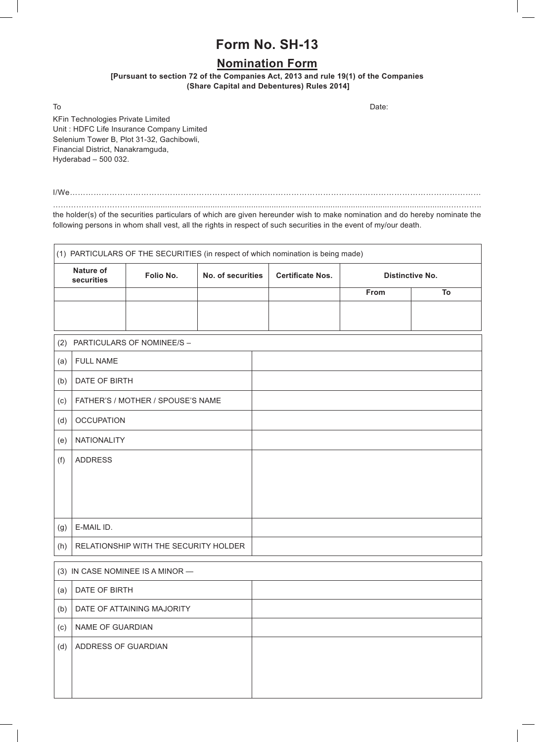## **Form No. SH-13**

## **Nomination Form**

**[Pursuant to section 72 of the Companies Act, 2013 and rule 19(1) of the Companies (Share Capital and Debentures) Rules 2014]**

To and the contract of the contract of the contract of the contract of the contract of the Date:

KFin Technologies Private Limited Unit : HDFC Life Insurance Company Limited Selenium Tower B, Plot 31-32, Gachibowli, Financial District, Nanakramguda, Hyderabad – 500 032.

I/We…………………………………………………………………………………………………………………………………………

……………………………........................................................................................................................................………….. the holder(s) of the securities particulars of which are given hereunder wish to make nomination and do hereby nominate the following persons in whom shall vest, all the rights in respect of such securities in the event of my/our death.

| (1) PARTICULARS OF THE SECURITIES (in respect of which nomination is being made) |                                       |           |                   |  |                         |      |                        |  |
|----------------------------------------------------------------------------------|---------------------------------------|-----------|-------------------|--|-------------------------|------|------------------------|--|
| <b>Nature of</b><br>securities                                                   |                                       | Folio No. | No. of securities |  | <b>Certificate Nos.</b> |      | <b>Distinctive No.</b> |  |
|                                                                                  |                                       |           |                   |  |                         | From | To                     |  |
|                                                                                  |                                       |           |                   |  |                         |      |                        |  |
| PARTICULARS OF NOMINEE/S -<br>(2)                                                |                                       |           |                   |  |                         |      |                        |  |
| (a)                                                                              | <b>FULL NAME</b>                      |           |                   |  |                         |      |                        |  |
| (b)                                                                              | DATE OF BIRTH                         |           |                   |  |                         |      |                        |  |
| (c)                                                                              | FATHER'S / MOTHER / SPOUSE'S NAME     |           |                   |  |                         |      |                        |  |
| (d)                                                                              | <b>OCCUPATION</b>                     |           |                   |  |                         |      |                        |  |
| (e)                                                                              | NATIONALITY                           |           |                   |  |                         |      |                        |  |
| (f)                                                                              | <b>ADDRESS</b>                        |           |                   |  |                         |      |                        |  |
|                                                                                  |                                       |           |                   |  |                         |      |                        |  |
|                                                                                  |                                       |           |                   |  |                         |      |                        |  |
|                                                                                  |                                       |           |                   |  |                         |      |                        |  |
| (g)                                                                              | E-MAIL ID.                            |           |                   |  |                         |      |                        |  |
| (h)                                                                              | RELATIONSHIP WITH THE SECURITY HOLDER |           |                   |  |                         |      |                        |  |
|                                                                                  |                                       |           |                   |  |                         |      |                        |  |

| $(3)$ IN CASE NOMINEE IS A MINOR — |                            |  |  |
|------------------------------------|----------------------------|--|--|
| (a)                                | DATE OF BIRTH              |  |  |
| (b)                                | DATE OF ATTAINING MAJORITY |  |  |
| (c)                                | NAME OF GUARDIAN           |  |  |
| (d)                                | ADDRESS OF GUARDIAN        |  |  |
|                                    |                            |  |  |